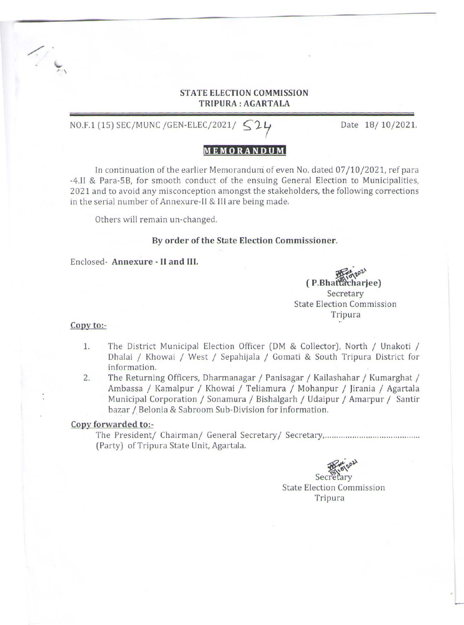# STATE ELECTION COMMISSION TRIPURA : AGARTALA

NO.F.1 (15) SEC/MUNC /GEN-ELEC/2021/  $524$  Date 18/10/2021.

# **MEMORANDUM**

In continuation of the earlier Memorandum of even No. dated 07/10/2021, ref para -4.11 & Para-58, for smooth conduct of the ensuing General Election to Municipalities, 2021 and to avoid any misconception amongst the stakeholders, the following corrections in the serial number of Annexure-II & Ill are being made.

Others will remain un-changed.

## By order of the State Election Commissioner.

Enclosed- Annexure - II and III.

(P.Bhattacharjee) Secretary State Election Commission Tripura

## Copy to:-

 $\diagup$  i

 $\frac{1}{2}$ .

- 1. The District Municipal Election Officer (DM & Collector), North / Unakoti / Dhalai / Khowai / West / Sepahijala / Gomati & South Tripura District for information.
- 2. The Returning Officers, Dharmanagar / Panisagar / Kailashahar / Kumarghat / Ambassa / Kamalpur / Khowai / Teliamura / Mohanpur / Jirania / Agartala Municipal Corporation / Sonamura / Bishalgarh / Udaipur / Amarpur / Santir bazar / Belonia & Sabroom Sub-Division for information.

## Copy forwarded to:-

The President/ Chairman/ General Secretary I Secretary, ......................................... . (Party) of Tripura State Unit, Agartala.

Secretary

State Election Commission Tripura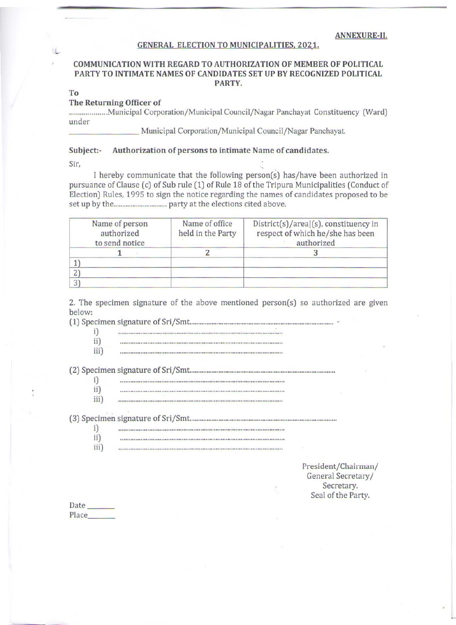#### ANNEXURE-II.

#### GENERAL ELECTION TO MUNICIPALITIES. 2021.

## COMMUNICATION WITH REGARD TO AUTHORIZATION OF MEMBER OF POLITICAL PARTY TO INTIMATE NAMES OF CANDIDATES SET UP BY RECOGNIZED POLITICAL PARTY.

To

### The Returning Officer of

................... Municipal Corporation/Municipal Council/Nagar Panchayat Constituency (Ward) under

Municipal Corporation/Municipal Council/Nagar Panchayat.

## Subject:- Authorization of persons to intimate Name of candidates.

Sir,

I hereby communicate that the following person(s) has/have been authorized in pursuance of Clause (c) of Sub rule (1) of Rule 18 of the Tripura Municipalities (Conduct of Election) Rules, 1995 to sign the notice regarding the names of candidates proposed to be set up by the ............................... party at the elections cited above.

| Name of person<br>authorized<br>to send notice | Name of office<br>held in the Party | $Distrit(s)/area(s)$ , constituency in<br>respect of which he/she has been<br>authorized |
|------------------------------------------------|-------------------------------------|------------------------------------------------------------------------------------------|
|                                                |                                     |                                                                                          |
|                                                |                                     |                                                                                          |
|                                                |                                     |                                                                                          |
|                                                |                                     |                                                                                          |

2. The specimen signature of the above mentioned person(s) so authorized are given below:

(1) Specimen signature of Sri/Smt ..................................................................................... ..

| i   |                                                                                                               |
|-----|---------------------------------------------------------------------------------------------------------------|
|     |                                                                                                               |
|     | 이번 이 가장 이 사람이 아니? 이 사람은 사람들은 어떻게 하는 것 같아. 이 사람들은 아이들이 아니?                                                     |
| iii | 1999 A LA DISTRIBUIRA DE MONTENA DE MONTENERO DE PORTO DE LA MONTE DE LA DISTRIBUIRA DE LA MONTENA DE LA LA C |

(2) Specimen signature of Sri/Smt. .................................................................................... .

| i)  | 20일 : 4 - 2007년 2017년 2018년 2019년 2019년 2019년 2019년 2월 50일 3월 50일 3월 5일 3월 5일 3월 5일 3월 5일 3월 5일 3월 5일 3월 5일 3월 |
|-----|----------------------------------------------------------------------------------------------------------------|
| ii) |                                                                                                                |

| iii) |  |
|------|--|
|      |  |
|      |  |

(3) Specimen signature of Sri/Smt... ................................................................................... .

| í   | 在这里的过去式和过去分词 化聚合聚合 医心包 医心包性皮炎 医心包 医血管性皮炎 医心包性 医心包的 医心包 医心包 医心包的 医心包的 医心包 医心包 医心包的 医心包 |
|-----|---------------------------------------------------------------------------------------|
| ii  |                                                                                       |
| iií |                                                                                       |

President/Chairman/ General Secretary/ Secretary. Seal of the Party.

| ×.<br>$\sim$ |  |
|--------------|--|
|              |  |